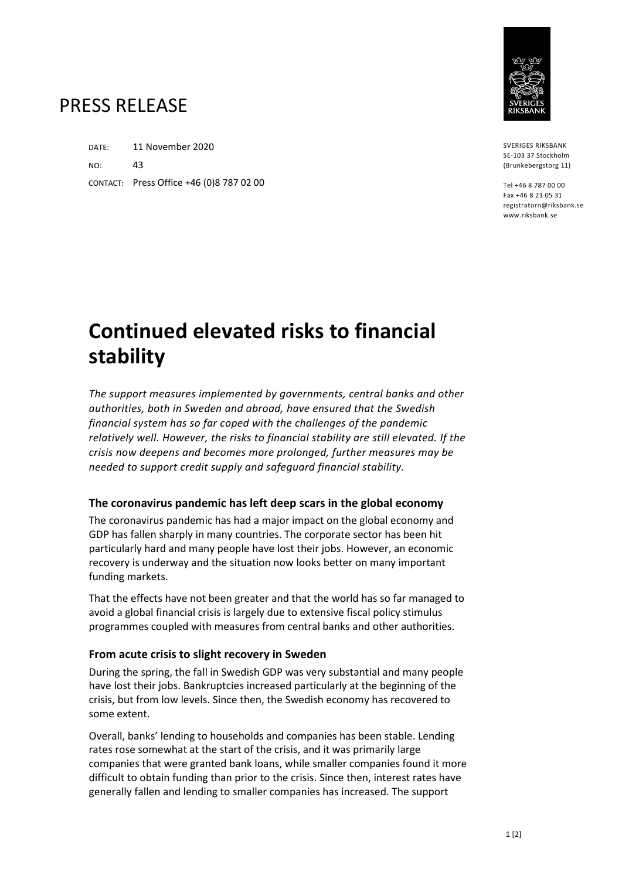

SVERIGES RIKSBANK SE-103 37 Stockholm (Brunkebergstorg 11)

Tel +46 8 787 00 00 Fax +46 8 21 05 31 registratorn@riksbank.se www.riksbank.se

## PRESS RELEASE

DATE: 11 November 2020  $NOP$  43 CONTACT: Press Office +46 (0)8 787 02 00

# **Continued elevated risks to financial stability**

*The support measures implemented by governments, central banks and other authorities, both in Sweden and abroad, have ensured that the Swedish financial system has so far coped with the challenges of the pandemic relatively well. However, the risks to financial stability are still elevated. If the crisis now deepens and becomes more prolonged, further measures may be needed to support credit supply and safeguard financial stability.*

### **The coronavirus pandemic has left deep scars in the global economy**

The coronavirus pandemic has had a major impact on the global economy and GDP has fallen sharply in many countries. The corporate sector has been hit particularly hard and many people have lost their jobs. However, an economic recovery is underway and the situation now looks better on many important funding markets.

That the effects have not been greater and that the world has so far managed to avoid a global financial crisis is largely due to extensive fiscal policy stimulus programmes coupled with measures from central banks and other authorities.

#### **From acute crisis to slight recovery in Sweden**

During the spring, the fall in Swedish GDP was very substantial and many people have lost their jobs. Bankruptcies increased particularly at the beginning of the crisis, but from low levels. Since then, the Swedish economy has recovered to some extent.

Overall, banks' lending to households and companies has been stable. Lending rates rose somewhat at the start of the crisis, and it was primarily large companies that were granted bank loans, while smaller companies found it more difficult to obtain funding than prior to the crisis. Since then, interest rates have generally fallen and lending to smaller companies has increased. The support